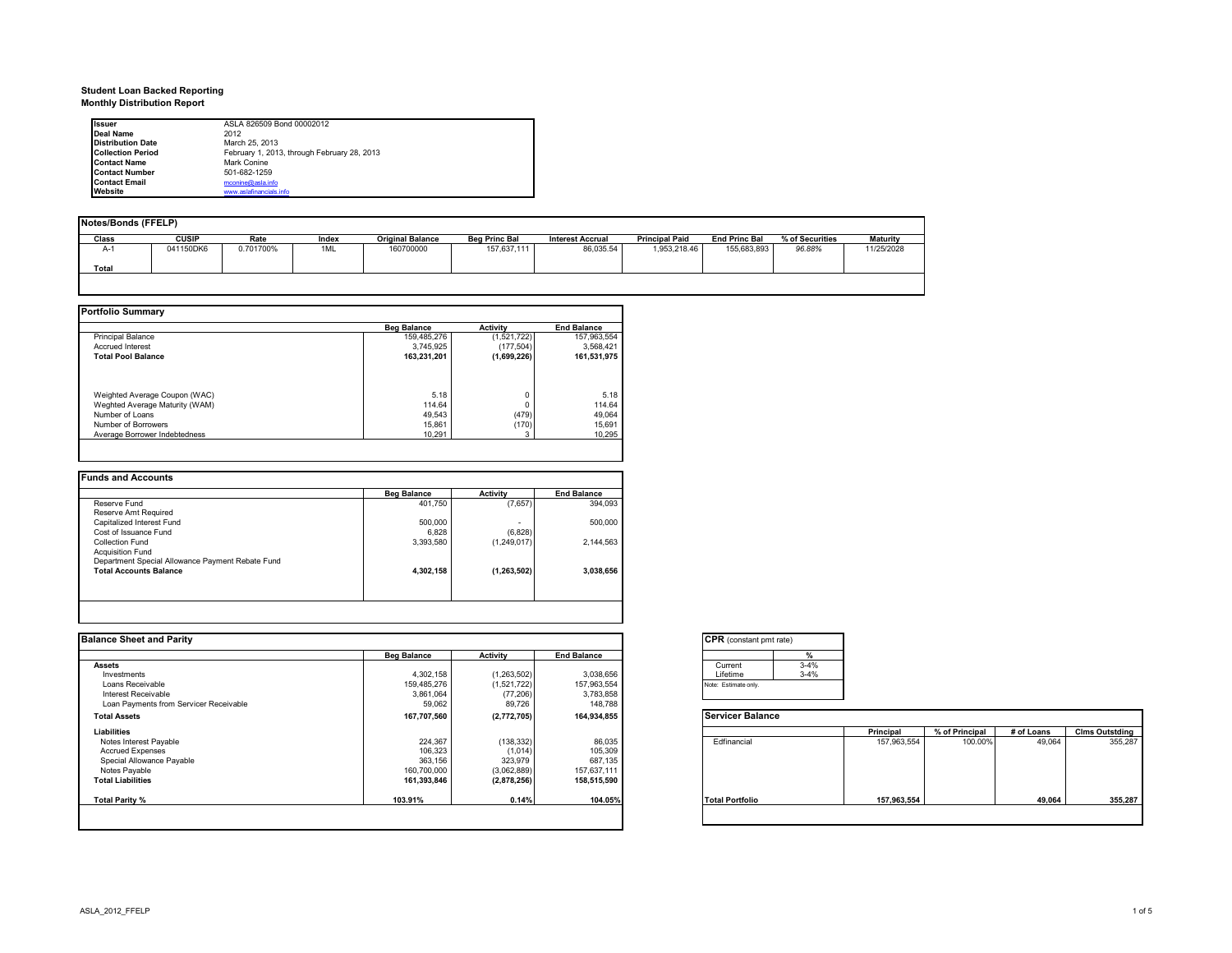# **Student Loan Backed Reporting Monthly Distribution Report**

| <b>Issuer</b>            | ASLA 826509 Bond 00002012                   |
|--------------------------|---------------------------------------------|
| <b>Deal Name</b>         | 2012                                        |
| <b>Distribution Date</b> | March 25, 2013                              |
| <b>Collection Period</b> | February 1, 2013, through February 28, 2013 |
| <b>Contact Name</b>      | Mark Conine                                 |
| <b>Contact Number</b>    | 501-682-1259                                |
| <b>Contact Email</b>     | mconine@asla.info                           |
| Website                  | www.aslafinancials.info                     |

| Notes/Bonds (FFELP) |              |           |       |                         |                      |                         |                       |                      |                 |            |
|---------------------|--------------|-----------|-------|-------------------------|----------------------|-------------------------|-----------------------|----------------------|-----------------|------------|
| Class               | <b>CUSIP</b> | Rate      | Index | <b>Original Balance</b> | <b>Beg Princ Bal</b> | <b>Interest Accrual</b> | <b>Principal Paid</b> | <b>End Princ Bal</b> | % of Securities | Maturity   |
| A-1                 | 041150DK6    | 0.701700% | 1ML   | 160700000               | 157,637,111          | 86.035.54               | 1.953.218.46          | 155,683,893          | 96.88%          | 11/25/2028 |
| Total               |              |           |       |                         |                      |                         |                       |                      |                 |            |
|                     |              |           |       |                         |                      |                         |                       |                      |                 |            |
|                     |              |           |       |                         |                      |                         |                       |                      |                 |            |

**Portfolio Summary**

|                                | <b>Beg Balance</b> | <b>Activity</b> | <b>End Balance</b> |
|--------------------------------|--------------------|-----------------|--------------------|
| <b>Principal Balance</b>       | 159,485,276        | (1,521,722)     | 157,963,554        |
| <b>Accrued Interest</b>        | 3.745.925          | (177.504)       | 3.568.421          |
| <b>Total Pool Balance</b>      | 163.231.201        | (1,699,226)     | 161,531,975        |
| Weighted Average Coupon (WAC)  | 5.18               |                 | 5.18               |
| Weghted Average Maturity (WAM) | 114.64             |                 | 114.64             |
| Number of Loans                | 49.543             | (479)           | 49.064             |
| Number of Borrowers            | 15.861             | (170)           | 15.691             |
| Average Borrower Indebtedness  | 10,291             |                 | 10.295             |

|                                                  | <b>Beg Balance</b> | <b>Activity</b> | <b>End Balance</b> |
|--------------------------------------------------|--------------------|-----------------|--------------------|
| Reserve Fund                                     | 401,750            | (7,657)         | 394,093            |
| Reserve Amt Required                             |                    |                 |                    |
| Capitalized Interest Fund                        | 500,000            |                 | 500.000            |
| Cost of Issuance Fund                            | 6.828              | (6,828)         |                    |
| Collection Fund                                  | 3,393,580          | (1,249,017)     | 2.144.563          |
| <b>Acquisition Fund</b>                          |                    |                 |                    |
| Department Special Allowance Payment Rebate Fund |                    |                 |                    |
| <b>Total Accounts Balance</b>                    | 4,302,158          | (1, 263, 502)   | 3,038,656          |
|                                                  |                    |                 |                    |

| <b>Balance Sheet and Parity</b>        |                    |                 |                    | <b>CPR</b> (constant pmt rate) |             |                |            |                       |
|----------------------------------------|--------------------|-----------------|--------------------|--------------------------------|-------------|----------------|------------|-----------------------|
|                                        | <b>Beg Balance</b> | <b>Activity</b> | <b>End Balance</b> | 7٥                             |             |                |            |                       |
| <b>Assets</b>                          |                    |                 |                    | $3 - 4%$<br>Current            |             |                |            |                       |
| Investments                            | 4,302,158          | (1,263,502)     | 3,038,656          | $3 - 4%$<br>Lifetime           |             |                |            |                       |
| Loans Receivable                       | 159,485,276        | (1,521,722)     | 157,963,554        | Note: Estimate only.           |             |                |            |                       |
| <b>Interest Receivable</b>             | 3,861,064          | (77, 206)       | 3,783,858          |                                |             |                |            |                       |
| Loan Payments from Servicer Receivable | 59,062             | 89,726          | 148,788            |                                |             |                |            |                       |
| <b>Total Assets</b>                    | 167,707,560        | (2,772,705)     | 164,934,855        | <b>Servicer Balance</b>        |             |                |            |                       |
| Liabilities                            |                    |                 |                    |                                | Principal   | % of Principal | # of Loans | <b>Clms Outstding</b> |
| Notes Interest Payable                 | 224,367            | (138, 332)      | 86,035             | Edfinancial                    | 157,963,554 | 100.00%        | 49,064     | 355,287               |
| <b>Accrued Expenses</b>                | 106,323            | (1,014)         | 105,309            |                                |             |                |            |                       |
| Special Allowance Payable              | 363,156            | 323,979         | 687,135            |                                |             |                |            |                       |
| Notes Payable                          | 160,700,000        | (3,062,889)     | 157,637,111        |                                |             |                |            |                       |
| <b>Total Liabilities</b>               | 161,393,846        | (2,878,256)     | 158,515,590        |                                |             |                |            |                       |
| Total Parity %                         | 103.91%            | 0.14%           | 104.05%            | <b>Total Portfolio</b>         | 157,963,554 |                | 49,064     | 355,287               |

| Current  | $3 - 4%$ |
|----------|----------|
| Lifetime | $3-4%$   |

|                        | Principal   | % of Principal | # of Loans | <b>Clms Outstding</b> |
|------------------------|-------------|----------------|------------|-----------------------|
| Edfinancial            | 157,963,554 | 100.00%        | 49,064     | 355,287               |
| <b>Total Portfolio</b> | 157,963,554 |                | 49.064     | 355,287               |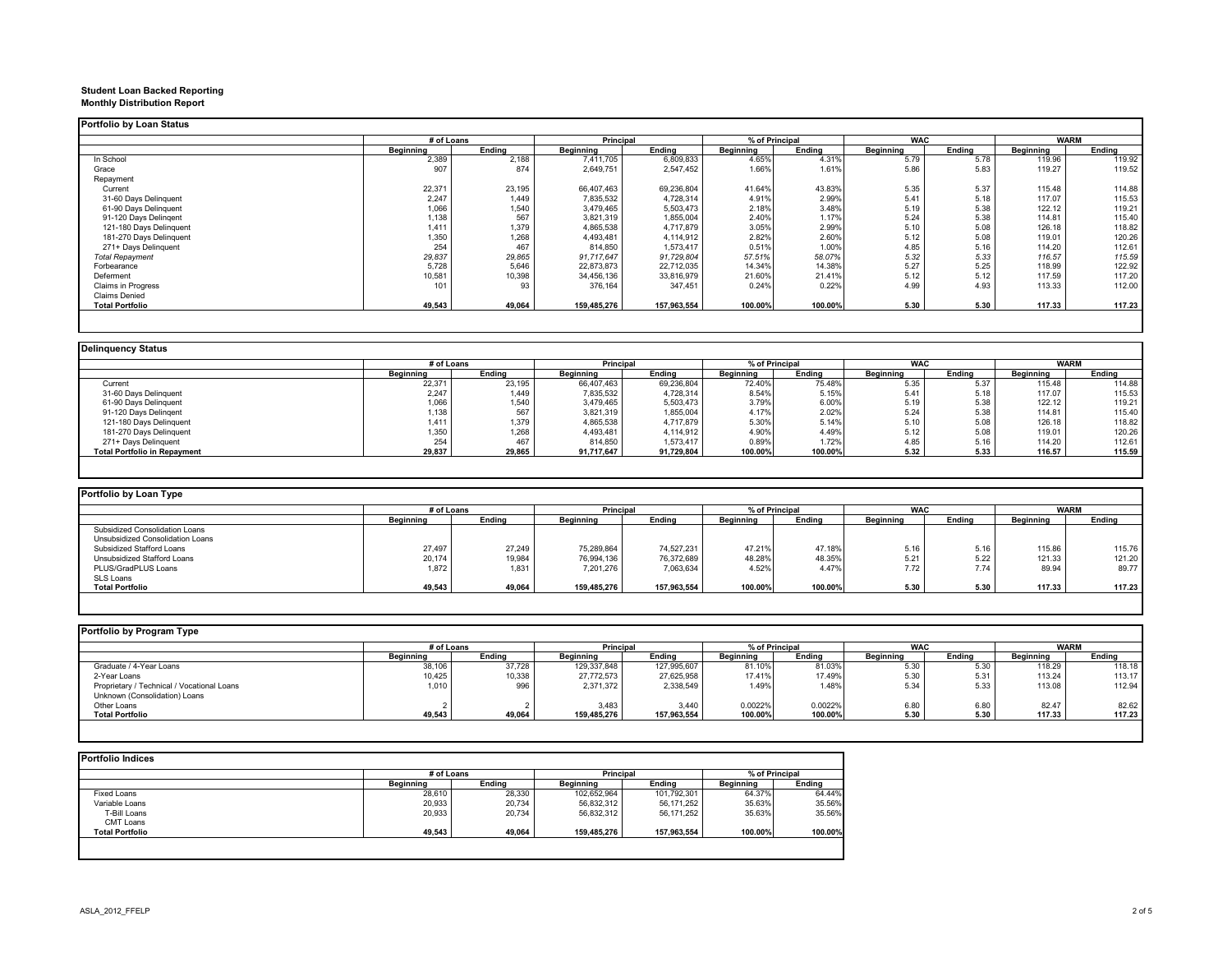## **Student Loan Backed Reporting Monthly Distribution Report**

#### **Portfolio by Loan Status**

| ortiono by Loan Status  |                  |        |             |             |                |         |            |        |             |        |
|-------------------------|------------------|--------|-------------|-------------|----------------|---------|------------|--------|-------------|--------|
|                         | # of Loans       |        | Principal   |             | % of Principal |         | <b>WAC</b> |        | <b>WARM</b> |        |
|                         | <b>Beginning</b> | Endina | Beginning   | Endina      | Beginning      | Endina  | Beainnina  | Endina | Beginning   | Endina |
| In School               | 2,389            | 2,188  | 7,411,705   | 6,809,833   | 4.65%          | 4.31%   | 5.79       | 5.78   | 119.96      | 119.92 |
| Grace                   | 907              | 874    | 2,649,751   | 2,547,452   | 1.66%          | 1.61%   | 5.86       | 5.83   | 119.27      | 119.52 |
| Repayment               |                  |        |             |             |                |         |            |        |             |        |
| Current                 | 22,371           | 23,195 | 66.407.463  | 69,236,804  | 41.64%         | 43.83%  | 5.35       | 5.37   | 115.48      | 114.88 |
| 31-60 Days Delinquent   | 2,247            | 1,449  | 7,835,532   | 4,728,314   | 4.91%          | 2.99%   | 5.41       | 5.18   | 117.07      | 115.53 |
| 61-90 Days Delinquent   | 1,066            | 1,540  | 3,479,465   | 5,503,473   | 2.18%          | 3.48%   | 5.19       | 5.38   | 122.12      | 119.21 |
| 91-120 Days Delingent   | 1,138            | 567    | 3,821,319   | 1,855,004   | 2.40%          | 1.17%   | 5.24       | 5.38   | 114.81      | 115.40 |
| 121-180 Days Delinquent | 1,411            | 1,379  | 4,865,538   | 4,717,879   | 3.05%          | 2.99%   | 5.10       | 5.08   | 126.18      | 118.82 |
| 181-270 Days Delinquent | 1,350            | 1,268  | 4,493,481   | 4,114,912   | 2.82%          | 2.60%   | 5.12       | 5.08   | 119.01      | 120.26 |
| 271+ Days Delinquent    | 254              | 467    | 814,850     | 1,573,417   | 0.51%          | 1.00%   | 4.85       | 5.16   | 114.20      | 112.61 |
| <b>Total Repayment</b>  | 29,837           | 29,865 | 91.717.647  | 91,729,804  | 57.51%         | 58.07%  | 5.32       | 5.33   | 116.57      | 115.59 |
| Forbearance             | 5,728            | 5,646  | 22,873,873  | 22,712,035  | 14.34%         | 14.38%  | 5.27       | 5.25   | 118.99      | 122.92 |
| Deferment               | 10,581           | 10,398 | 34,456,136  | 33,816,979  | 21.60%         | 21.41%  | 5.12       | 5.12   | 117.59      | 117.20 |
| Claims in Progress      | 101              | 93     | 376,164     | 347,451     | 0.24%          | 0.22%   | 4.99       | 4.93   | 113.33      | 112.00 |
| <b>Claims Denied</b>    |                  |        |             |             |                |         |            |        |             |        |
| <b>Total Portfolio</b>  | 49,543           | 49,064 | 159,485,276 | 157,963,554 | 100.00%        | 100.00% | 5.30       | 5.30   | 117.33      | 117.23 |
|                         |                  |        |             |             |                |         |            |        |             |        |

| <b>Delinguency Status</b> |  |
|---------------------------|--|

|                              | # of Loans |        | Principal        |            | % of Principal |         | <b>WAC</b>       |        |                  | <b>WARM</b> |  |
|------------------------------|------------|--------|------------------|------------|----------------|---------|------------------|--------|------------------|-------------|--|
|                              | Beainnina  | Endina | <b>Beginning</b> | Endina     | Beainnina      | Endina  | <b>Beginning</b> | Endina | <b>Beginning</b> | Endina      |  |
| Current                      | 22.371     | 23,195 | 66,407,463       | 69,236,804 | 72.40%         | 75.48%  | 5.35             | 5.37   | 115.48           | 114.88      |  |
| 31-60 Days Delinquent        | 2.247      | 1.449  | 7,835,532        | 4,728,314  | 8.54%          | 5.15%   | 5.41             | 5.18   | 117.07           | 115.53      |  |
| 61-90 Days Delinquent        | 1,066      | 1,540  | 3,479,465        | 5,503,473  | 3.79%          | 6.00%   | 5.19             | 5.38   | 122.12           | 119.21      |  |
| 91-120 Days Delingent        | 1,138      | 567    | 3,821,319        | 1,855,004  | 4.17%          | 2.02%   | 5.24             | 5.38   | 114.81           | 115.40      |  |
| 121-180 Days Delinguent      | 1.411      | 1,379  | 4,865,538        | 4,717,879  | 5.30%          | 5.14%   | 5.10             | 5.08   | 126.18           | 118.82      |  |
| 181-270 Days Delinguent      | 1,350      | 1,268  | 4,493,481        | 4,114,912  | 4.90%          | 4.49%   | 5.12             | 5.08   | 119.01           | 120.26      |  |
| 271+ Days Delinquent         | 254        | 467    | 814,850          | 1,573,417  | 0.89%          | 1.72%   | 4.85             | 5.16   | 114.20           | 112.61      |  |
| Total Portfolio in Repavment | 29,837     | 29,865 | 91,717,647       | 91,729,804 | 100.00%        | 100.00% | 5.32             | 5.33   | 116.57           | 115.59      |  |

| Portfolio by Loan Type           |                  |        |                  |             |                  |         |                  |        |             |        |
|----------------------------------|------------------|--------|------------------|-------------|------------------|---------|------------------|--------|-------------|--------|
|                                  | # of Loans       |        | Principal        |             | % of Principal   |         | <b>WAC</b>       |        | <b>WARM</b> |        |
|                                  | <b>Beginning</b> | Endina | <b>Beginning</b> | Endina      | <b>Beainning</b> | Endina  | <b>Beginning</b> | Endina | Beainnina   | Endina |
| Subsidized Consolidation Loans   |                  |        |                  |             |                  |         |                  |        |             |        |
| Unsubsidized Consolidation Loans |                  |        |                  |             |                  |         |                  |        |             |        |
| Subsidized Stafford Loans        | 27.497           | 27.249 | 75,289,864       | 74.527.231  | 47.21%           | 47.18%  | 5.16             | 5.16   | 115.86      | 115.76 |
| Unsubsidized Stafford Loans      | 20,174           | 19.984 | 76,994,136       | 76.372.689  | 48.28%           | 48.35%  | 5.21             | 5.22   | 121.33      | 121.20 |
| PLUS/GradPLUS Loans              | 1,872            | 1,831  | 7.201.276        | 7,063,634   | 4.52%            | 4.47%   | 7.72             | 7.74   | 89.94       | 89.77  |
| SLS Loans                        |                  |        |                  |             |                  |         |                  |        |             |        |
| <b>Total Portfolio</b>           | 49,543           | 49.064 | 159.485.276      | 157.963.554 | 100.00%          | 100.00% | 5.30             | 5.30   | 117.33      | 117.23 |

| Portfolio by Program Type                  |            |        |               |             |                |         |            |        |             |        |
|--------------------------------------------|------------|--------|---------------|-------------|----------------|---------|------------|--------|-------------|--------|
|                                            | # of Loans |        | Principal     |             | % of Principal |         | <b>WAC</b> |        | <b>WARM</b> |        |
|                                            | Beainnina  | Endina | Beainnina     | Endina      | Beainnina      | Endina  | Beainnina  | Endina | Beainnina   | Endina |
| Graduate / 4-Year Loans                    | 38,106     | 37,728 | 129, 337, 848 | 127,995,607 | 81.10%         | 81.03%  | 5.30       | 5.30   | 118.29      | 118.18 |
| 2-Year Loans                               | 10,425     | 10,338 | 27,772,573    | 27,625,958  | 17.41%         | 17.49%  | 5.30       | 5.31   | 113.24      | 113.17 |
| Proprietary / Technical / Vocational Loans | 1,010      | 996    | 2,371,372     | 2,338,549   | 1.49%          | 1.48%   | 5.34       | 5.33   | 113.08      | 112.94 |
| Unknown (Consolidation) Loans              |            |        |               |             |                |         |            |        |             |        |
| Other Loans                                |            |        | 3,483         | 3,440       | 0.0022%        | 0.0022% | 6.80       | 6.80   | 82.47       | 82.62  |
| <b>Total Portfolio</b>                     | 49,543     | 49,064 | 159,485,276   | 157,963,554 | 100.00%        | 100.00% | 5.30       | 5.30   | 117.33      | 117.23 |
|                                            |            |        |               |             |                |         |            |        |             |        |

| # of Loans |        | <b>Principal</b> |             | % of Principal |         |
|------------|--------|------------------|-------------|----------------|---------|
| Beginning  | Endina | Beainnina        | Endina      | Beainnina      | Endina  |
| 28,610     | 28,330 | 102,652,964      | 101,792,301 | 64.37%         | 64.44%  |
| 20,933     | 20.734 | 56.832.312       | 56.171.252  | 35.63%         | 35.56%  |
| 20,933     | 20,734 | 56,832,312       | 56,171,252  | 35.63%         | 35.56%  |
|            |        |                  |             |                |         |
| 49.543     | 49.064 | 159.485.276      | 157.963.554 | 100.00%        | 100.00% |
|            |        |                  |             |                |         |
|            |        |                  |             |                |         |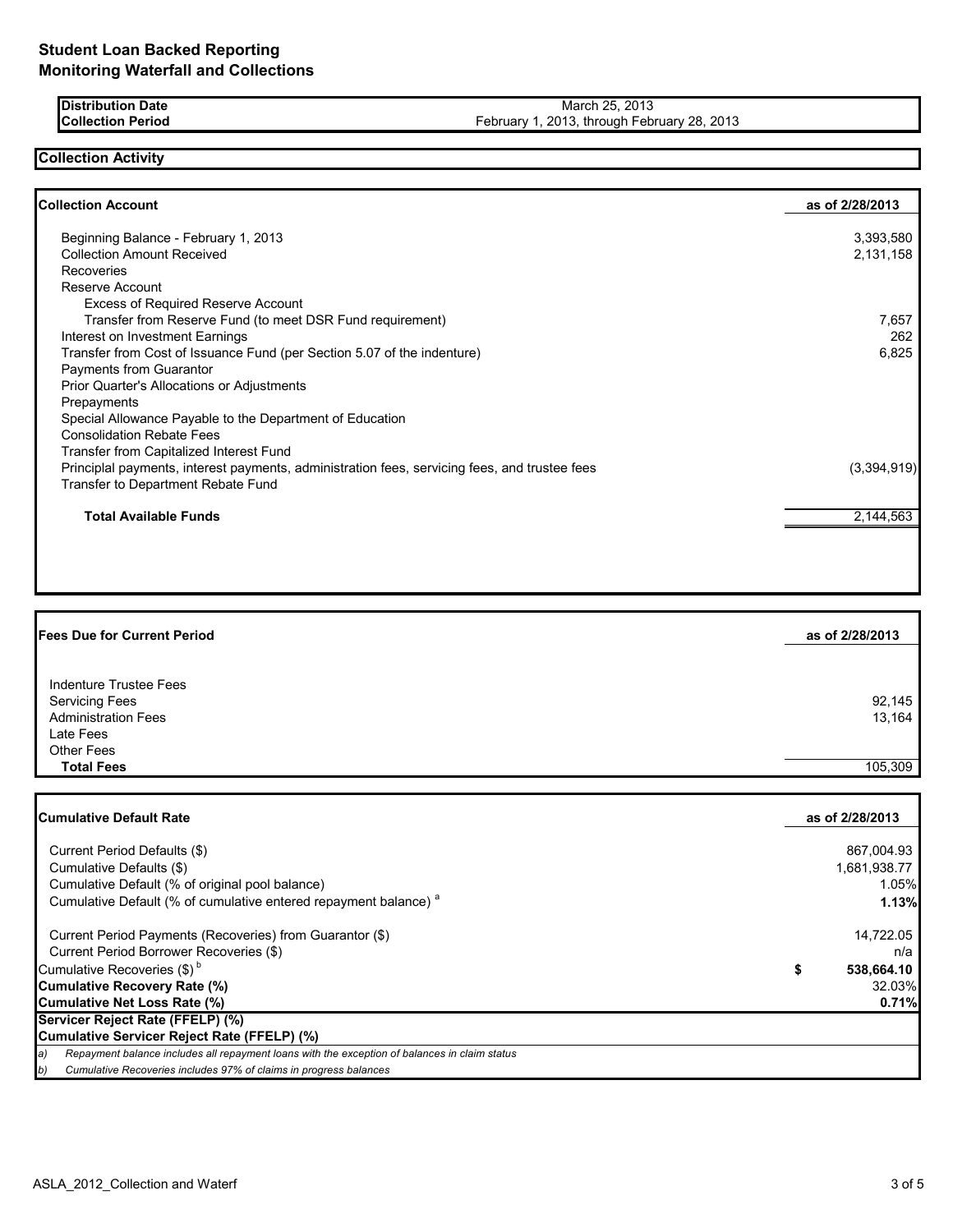**Distribution Date Collection Period**

March 25, 2013 February 1, 2013, through February 28, 2013

### **Collection Activity**

| <b>Collection Account</b>                                                                     | as of 2/28/2013 |
|-----------------------------------------------------------------------------------------------|-----------------|
| Beginning Balance - February 1, 2013                                                          | 3,393,580       |
| <b>Collection Amount Received</b>                                                             | 2,131,158       |
| Recoveries                                                                                    |                 |
| Reserve Account                                                                               |                 |
| <b>Excess of Required Reserve Account</b>                                                     |                 |
| Transfer from Reserve Fund (to meet DSR Fund requirement)                                     | 7,657           |
| Interest on Investment Earnings                                                               | 262             |
| Transfer from Cost of Issuance Fund (per Section 5.07 of the indenture)                       | 6,825           |
| Payments from Guarantor                                                                       |                 |
| Prior Quarter's Allocations or Adjustments                                                    |                 |
| Prepayments                                                                                   |                 |
| Special Allowance Payable to the Department of Education                                      |                 |
| <b>Consolidation Rebate Fees</b>                                                              |                 |
| Transfer from Capitalized Interest Fund                                                       |                 |
| Principlal payments, interest payments, administration fees, servicing fees, and trustee fees | (3,394,919)     |
| Transfer to Department Rebate Fund                                                            |                 |
| <b>Total Available Funds</b>                                                                  | 2,144,563       |

| <b>Fees Due for Current Period</b> | as of 2/28/2013 |
|------------------------------------|-----------------|
| Indenture Trustee Fees             |                 |
| <b>Servicing Fees</b>              | 92,145          |
| <b>Administration Fees</b>         | 13,164          |
| Late Fees                          |                 |
| <b>Other Fees</b>                  |                 |
| <b>Total Fees</b>                  | 105.309         |

| Cumulative Default Rate                                                                             | as of 2/28/2013  |
|-----------------------------------------------------------------------------------------------------|------------------|
|                                                                                                     |                  |
| Current Period Defaults (\$)                                                                        | 867,004.93       |
| Cumulative Defaults (\$)                                                                            | 1,681,938.77     |
| Cumulative Default (% of original pool balance)                                                     | 1.05%            |
| Cumulative Default (% of cumulative entered repayment balance) <sup>a</sup>                         | 1.13%            |
| Current Period Payments (Recoveries) from Guarantor (\$)                                            | 14,722.05        |
| Current Period Borrower Recoveries (\$)                                                             | n/a              |
| Cumulative Recoveries (\$) <sup>b</sup>                                                             | \$<br>538,664.10 |
| <b>Cumulative Recovery Rate (%)</b>                                                                 | 32.03%           |
| Cumulative Net Loss Rate (%)                                                                        | 0.71%            |
| Servicer Reject Rate (FFELP) (%)                                                                    |                  |
| Cumulative Servicer Reject Rate (FFELP) (%)                                                         |                  |
| Repayment balance includes all repayment loans with the exception of balances in claim status<br>a) |                  |
| Cumulative Recoveries includes 97% of claims in progress balances<br>b)                             |                  |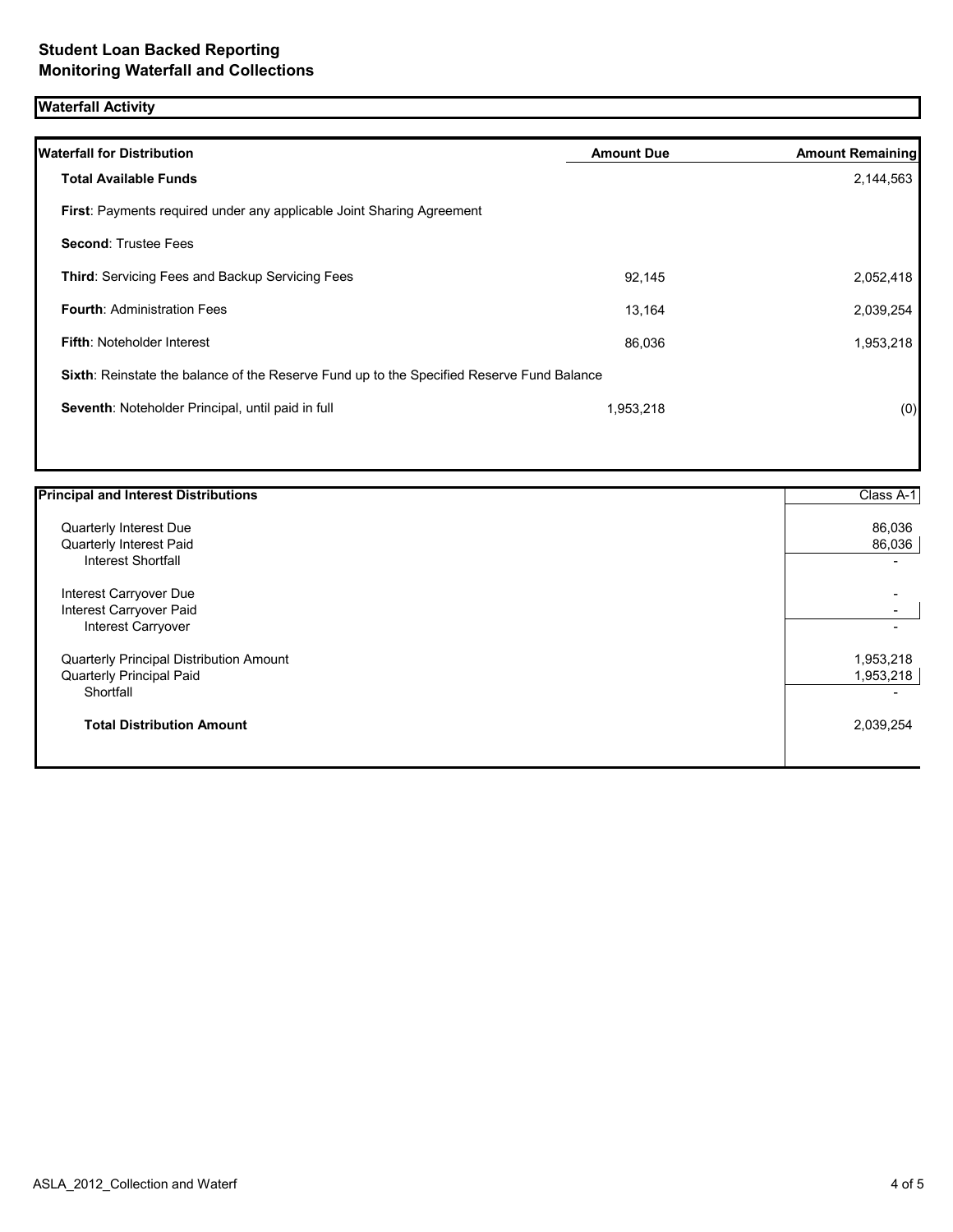# **Waterfall Activity**

| <b>Waterfall for Distribution</b>                                                         | <b>Amount Due</b> | <b>Amount Remaining</b> |
|-------------------------------------------------------------------------------------------|-------------------|-------------------------|
| <b>Total Available Funds</b>                                                              |                   | 2,144,563               |
| <b>First:</b> Payments required under any applicable Joint Sharing Agreement              |                   |                         |
| <b>Second: Trustee Fees</b>                                                               |                   |                         |
| <b>Third:</b> Servicing Fees and Backup Servicing Fees                                    | 92,145            | 2,052,418               |
| <b>Fourth: Administration Fees</b>                                                        | 13,164            | 2,039,254               |
| <b>Fifth: Noteholder Interest</b>                                                         | 86,036            | 1,953,218               |
| Sixth: Reinstate the balance of the Reserve Fund up to the Specified Reserve Fund Balance |                   |                         |
| Seventh: Noteholder Principal, until paid in full                                         | 1,953,218         | (0)                     |
|                                                                                           |                   |                         |

| <b>Principal and Interest Distributions</b>    | Class A-1                |
|------------------------------------------------|--------------------------|
| Quarterly Interest Due                         | 86,036                   |
| Quarterly Interest Paid                        | 86,036                   |
| <b>Interest Shortfall</b>                      |                          |
| Interest Carryover Due                         | $\overline{\phantom{0}}$ |
| Interest Carryover Paid                        | ۰.                       |
| Interest Carryover                             |                          |
| <b>Quarterly Principal Distribution Amount</b> | 1,953,218                |
| Quarterly Principal Paid                       | 1,953,218                |
| Shortfall                                      |                          |
| <b>Total Distribution Amount</b>               | 2,039,254                |
|                                                |                          |